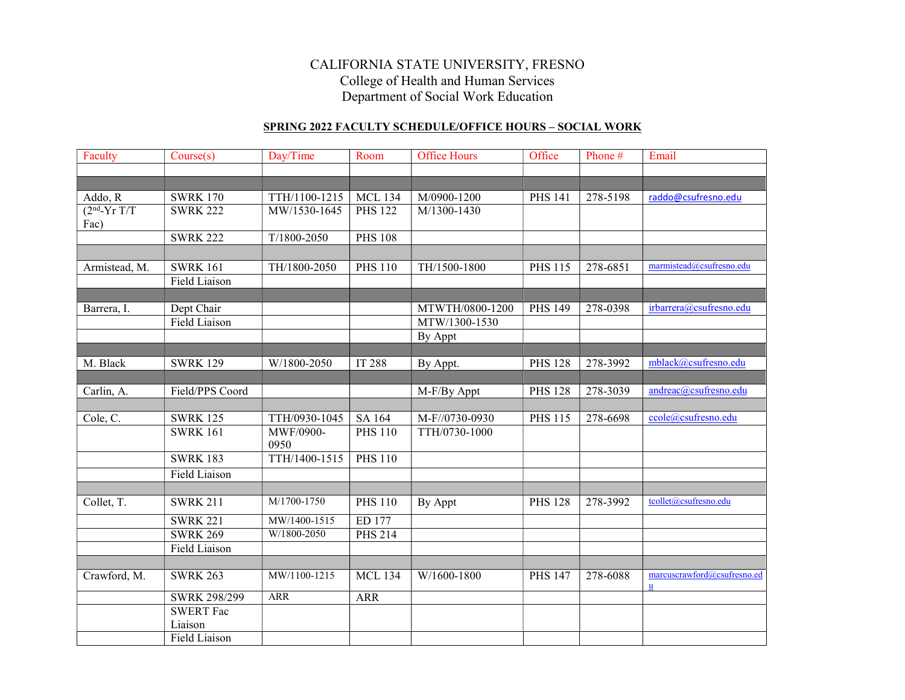## CALIFORNIA STATE UNIVERSITY, FRESNO College of Health and Human Services Department of Social Work Education

## SPRING 2022 FACULTY SCHEDULE/OFFICE HOURS – SOCIAL WORK

| Faculty        | Course(s)            | Day/Time          | Room           | <b>Office Hours</b> | Office         | Phone #  | Email                                      |
|----------------|----------------------|-------------------|----------------|---------------------|----------------|----------|--------------------------------------------|
|                |                      |                   |                |                     |                |          |                                            |
|                |                      |                   |                |                     |                |          |                                            |
| Addo, R        | <b>SWRK 170</b>      | TTH/1100-1215     | <b>MCL 134</b> | M/0900-1200         | <b>PHS 141</b> | 278-5198 | raddo@csufresno.edu                        |
| $(2nd-Yr T/T)$ | <b>SWRK 222</b>      | MW/1530-1645      | <b>PHS 122</b> | M/1300-1430         |                |          |                                            |
| Fac)           |                      |                   |                |                     |                |          |                                            |
|                | <b>SWRK 222</b>      | $T/1800 - 2050$   | <b>PHS 108</b> |                     |                |          |                                            |
|                |                      |                   |                |                     |                |          |                                            |
| Armistead, M.  | <b>SWRK 161</b>      | TH/1800-2050      | <b>PHS 110</b> | TH/1500-1800        | <b>PHS 115</b> | 278-6851 | marmistead@csufresno.edu                   |
|                | <b>Field Liaison</b> |                   |                |                     |                |          |                                            |
|                |                      |                   |                |                     |                |          |                                            |
| Barrera, I.    | Dept Chair           |                   |                | MTWTH/0800-1200     | <b>PHS 149</b> | 278-0398 | irbarrera@csufresno.edu                    |
|                | Field Liaison        |                   |                | MTW/1300-1530       |                |          |                                            |
|                |                      |                   |                | By Appt             |                |          |                                            |
|                |                      |                   |                |                     |                |          |                                            |
| M. Black       | <b>SWRK 129</b>      | W/1800-2050       | <b>IT 288</b>  | By Appt.            | <b>PHS 128</b> | 278-3992 | mblack@csufresno.edu                       |
|                |                      |                   |                |                     |                |          |                                            |
| Carlin, A.     | Field/PPS Coord      |                   |                | M-F/By Appt         | <b>PHS 128</b> | 278-3039 | andreac@csufresno.edu                      |
|                |                      |                   |                |                     |                |          |                                            |
| Cole, C.       | <b>SWRK 125</b>      | TTH/0930-1045     | SA 164         | M-F//0730-0930      | <b>PHS 115</b> | 278-6698 | ccole@csufresno.edu                        |
|                | <b>SWRK 161</b>      | MWF/0900-<br>0950 | <b>PHS 110</b> | TTH/0730-1000       |                |          |                                            |
|                | <b>SWRK 183</b>      | TTH/1400-1515     | <b>PHS 110</b> |                     |                |          |                                            |
|                | <b>Field Liaison</b> |                   |                |                     |                |          |                                            |
|                |                      |                   |                |                     |                |          |                                            |
| Collet, T.     | <b>SWRK 211</b>      | M/1700-1750       | <b>PHS 110</b> | By Appt             | <b>PHS 128</b> | 278-3992 | tcollet@csufresno.edu                      |
|                | <b>SWRK 221</b>      | MW/1400-1515      | ED 177         |                     |                |          |                                            |
|                | <b>SWRK 269</b>      | W/1800-2050       | <b>PHS 214</b> |                     |                |          |                                            |
|                | Field Liaison        |                   |                |                     |                |          |                                            |
|                |                      |                   |                |                     |                |          |                                            |
| Crawford, M.   | <b>SWRK 263</b>      | MW/1100-1215      | <b>MCL 134</b> | W/1600-1800         | <b>PHS 147</b> | 278-6088 | marcuscrawford@csufresno.ed<br>$\mathbf u$ |
|                | <b>SWRK 298/299</b>  | <b>ARR</b>        | ARR            |                     |                |          |                                            |
|                | <b>SWERT</b> Fac     |                   |                |                     |                |          |                                            |
|                | Liaison              |                   |                |                     |                |          |                                            |
|                | Field Liaison        |                   |                |                     |                |          |                                            |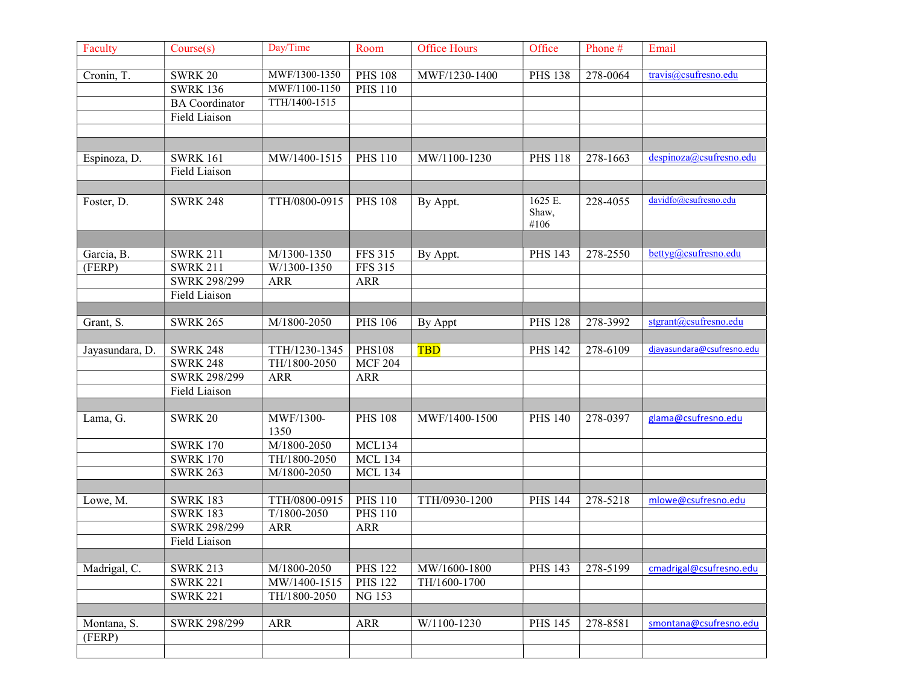| Faculty         | Course(s)             | Day/Time                  | Room           | <b>Office Hours</b> | Office         | Phone#   | Email                      |
|-----------------|-----------------------|---------------------------|----------------|---------------------|----------------|----------|----------------------------|
|                 |                       |                           |                |                     |                |          |                            |
| Cronin, T.      | <b>SWRK 20</b>        | MWF/1300-1350             | <b>PHS 108</b> | MWF/1230-1400       | <b>PHS 138</b> | 278-0064 | travis@csufresno.edu       |
|                 | <b>SWRK 136</b>       | MWF/1100-1150             | <b>PHS 110</b> |                     |                |          |                            |
|                 | <b>BA</b> Coordinator | TTH/1400-1515             |                |                     |                |          |                            |
|                 | <b>Field Liaison</b>  |                           |                |                     |                |          |                            |
|                 |                       |                           |                |                     |                |          |                            |
|                 |                       |                           |                |                     |                |          |                            |
| Espinoza, D.    | <b>SWRK 161</b>       | MW/1400-1515              | <b>PHS 110</b> | MW/1100-1230        | <b>PHS 118</b> | 278-1663 | despinoza@csufresno.edu    |
|                 | <b>Field Liaison</b>  |                           |                |                     |                |          |                            |
|                 |                       |                           |                |                     |                |          |                            |
| Foster, D.      | <b>SWRK 248</b>       | TTH/0800-0915             | <b>PHS 108</b> | By Appt.            | 1625 E.        | 228-4055 | davidfo@csufresno.edu      |
|                 |                       |                           |                |                     | Shaw,<br>#106  |          |                            |
|                 |                       |                           |                |                     |                |          |                            |
| Garcia, B.      | <b>SWRK 211</b>       | M/1300-1350               | <b>FFS 315</b> | By Appt.            | <b>PHS 143</b> | 278-2550 | bettyg@csufresno.edu       |
| (FERP)          | <b>SWRK 211</b>       | W/1300-1350               | <b>FFS 315</b> |                     |                |          |                            |
|                 | SWRK 298/299          | <b>ARR</b>                | <b>ARR</b>     |                     |                |          |                            |
|                 | Field Liaison         |                           |                |                     |                |          |                            |
|                 |                       |                           |                |                     |                |          |                            |
| Grant, S.       | <b>SWRK 265</b>       | M/1800-2050               | <b>PHS 106</b> | By Appt             | <b>PHS 128</b> | 278-3992 | stgrant@csufresno.edu      |
|                 |                       |                           |                |                     |                |          |                            |
| Jayasundara, D. | <b>SWRK 248</b>       | TTH/1230-1345             | <b>PHS108</b>  | <b>TBD</b>          | <b>PHS 142</b> | 278-6109 | djayasundara@csufresno.edu |
|                 | <b>SWRK 248</b>       | TH/1800-2050              | <b>MCF 204</b> |                     |                |          |                            |
|                 | SWRK 298/299          | <b>ARR</b>                | <b>ARR</b>     |                     |                |          |                            |
|                 | Field Liaison         |                           |                |                     |                |          |                            |
|                 |                       |                           |                |                     |                |          |                            |
| Lama, G.        | <b>SWRK 20</b>        | MWF/1300-<br>1350         | <b>PHS 108</b> | MWF/1400-1500       | <b>PHS 140</b> | 278-0397 | glama@csufresno.edu        |
|                 | <b>SWRK 170</b>       | M/1800-2050               | MCL134         |                     |                |          |                            |
|                 | <b>SWRK 170</b>       | TH/1800-2050              | <b>MCL 134</b> |                     |                |          |                            |
|                 | <b>SWRK 263</b>       | $\overline{M/1800}$ -2050 | <b>MCL 134</b> |                     |                |          |                            |
|                 |                       |                           |                |                     |                |          |                            |
| Lowe, M.        | <b>SWRK 183</b>       | TTH/0800-0915             | <b>PHS 110</b> | TTH/0930-1200       | <b>PHS 144</b> | 278-5218 | mlowe@csufresno.edu        |
|                 | <b>SWRK 183</b>       | $T/1800 - 2050$           | <b>PHS 110</b> |                     |                |          |                            |
|                 | SWRK 298/299          | <b>ARR</b>                | <b>ARR</b>     |                     |                |          |                            |
|                 | Field Liaison         |                           |                |                     |                |          |                            |
|                 |                       |                           |                |                     |                |          |                            |
| Madrigal, C.    | <b>SWRK 213</b>       | M/1800-2050               | <b>PHS 122</b> | MW/1600-1800        | <b>PHS 143</b> | 278-5199 | cmadrigal@csufresno.edu    |
|                 | <b>SWRK 221</b>       | MW/1400-1515              | <b>PHS 122</b> | TH/1600-1700        |                |          |                            |
|                 | <b>SWRK 221</b>       | TH/1800-2050              | NG 153         |                     |                |          |                            |
|                 |                       |                           |                |                     |                |          |                            |
| Montana, S.     | SWRK 298/299          | <b>ARR</b>                | $\mbox{ARR}$   | W/1100-1230         | <b>PHS 145</b> | 278-8581 | smontana@csufresno.edu     |
| (FERP)          |                       |                           |                |                     |                |          |                            |
|                 |                       |                           |                |                     |                |          |                            |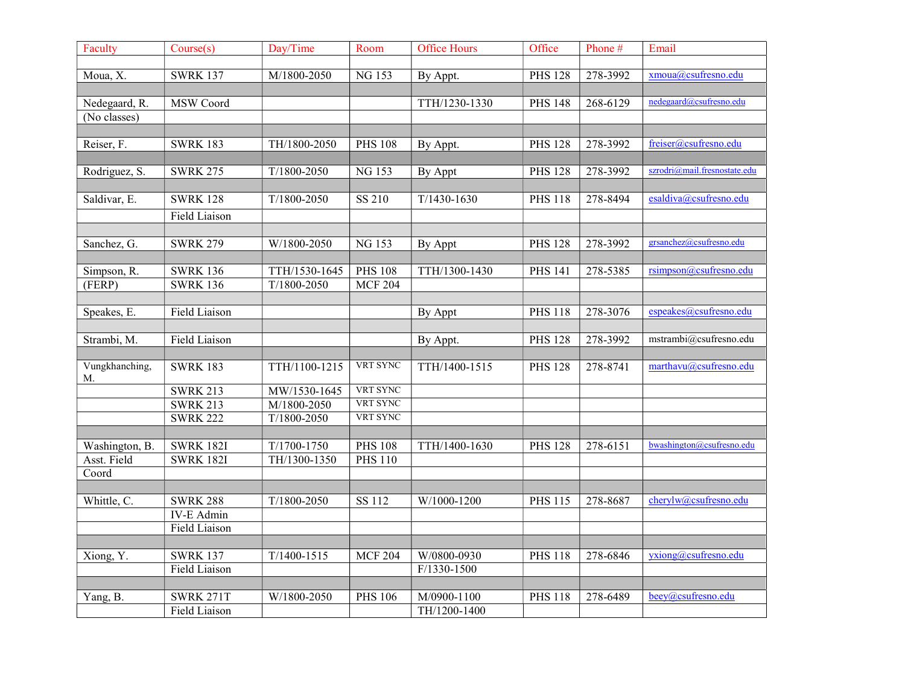| Faculty        | Course(s)         | Day/Time        | Room                        | <b>Office Hours</b> | Office         | Phone#   | Email                        |
|----------------|-------------------|-----------------|-----------------------------|---------------------|----------------|----------|------------------------------|
|                |                   |                 |                             |                     |                |          |                              |
| Moua, X.       | <b>SWRK 137</b>   | M/1800-2050     | <b>NG153</b>                | By Appt.            | <b>PHS 128</b> | 278-3992 | xmoua@csufresno.edu          |
|                |                   |                 |                             |                     |                |          |                              |
| Nedegaard, R.  | MSW Coord         |                 |                             | TTH/1230-1330       | <b>PHS 148</b> | 268-6129 | nedegaard@csufresno.edu      |
| (No classes)   |                   |                 |                             |                     |                |          |                              |
|                |                   |                 |                             |                     |                |          |                              |
| Reiser, F.     | <b>SWRK 183</b>   | TH/1800-2050    | <b>PHS 108</b>              | By Appt.            | <b>PHS 128</b> | 278-3992 | freiser@csufresno.edu        |
|                | <b>SWRK 275</b>   | $T/1800 - 2050$ |                             |                     | <b>PHS 128</b> |          | szrodri@mail.fresnostate.edu |
| Rodriguez, S.  |                   |                 | NG 153                      | By Appt             |                | 278-3992 |                              |
| Saldivar, E.   | <b>SWRK 128</b>   | $T/1800 - 2050$ | SS 210                      | $T/1430-1630$       | <b>PHS 118</b> | 278-8494 | esaldiva@csufresno.edu       |
|                |                   |                 |                             |                     |                |          |                              |
|                | Field Liaison     |                 |                             |                     |                |          |                              |
| Sanchez, G.    | <b>SWRK 279</b>   | W/1800-2050     | NG 153                      |                     | <b>PHS 128</b> | 278-3992 | grsanchez@csufresno.edu      |
|                |                   |                 |                             | By Appt             |                |          |                              |
| Simpson, R.    | <b>SWRK 136</b>   | TTH/1530-1645   | <b>PHS 108</b>              | TTH/1300-1430       | <b>PHS 141</b> | 278-5385 | rsimpson@csufresno.edu       |
| (FERP)         | <b>SWRK 136</b>   | $T/1800 - 2050$ | <b>MCF 204</b>              |                     |                |          |                              |
|                |                   |                 |                             |                     |                |          |                              |
| Speakes, E.    | Field Liaison     |                 |                             | By Appt             | <b>PHS 118</b> | 278-3076 | espeakes@csufresno.edu       |
|                |                   |                 |                             |                     |                |          |                              |
| Strambi, M.    | Field Liaison     |                 |                             | By Appt.            | <b>PHS 128</b> | 278-3992 | mstrambi@csufresno.edu       |
|                |                   |                 |                             |                     |                |          |                              |
| Vungkhanching, | <b>SWRK 183</b>   | TTH/1100-1215   | VRT SYNC                    | TTH/1400-1515       | <b>PHS 128</b> | 278-8741 | marthavu@csufresno.edu       |
| M.             |                   |                 |                             |                     |                |          |                              |
|                | <b>SWRK 213</b>   | MW/1530-1645    | VRT SYNC<br><b>VRT SYNC</b> |                     |                |          |                              |
|                | <b>SWRK 213</b>   | M/1800-2050     | <b>VRT SYNC</b>             |                     |                |          |                              |
|                | <b>SWRK 222</b>   | $T/1800 - 2050$ |                             |                     |                |          |                              |
| Washington, B. | <b>SWRK 182I</b>  | $T/1700 - 1750$ | <b>PHS 108</b>              | TTH/1400-1630       | <b>PHS 128</b> | 278-6151 | bwashington@csufresno.edu    |
| Asst. Field    | <b>SWRK 182I</b>  | TH/1300-1350    | <b>PHS 110</b>              |                     |                |          |                              |
| Coord          |                   |                 |                             |                     |                |          |                              |
|                |                   |                 |                             |                     |                |          |                              |
| Whittle, C.    | <b>SWRK 288</b>   | $T/1800 - 2050$ | SS 112                      | W/1000-1200         | <b>PHS 115</b> | 278-8687 | cherylw@csufresno.edu        |
|                | <b>IV-E Admin</b> |                 |                             |                     |                |          |                              |
|                | Field Liaison     |                 |                             |                     |                |          |                              |
|                |                   |                 |                             |                     |                |          |                              |
| Xiong, Y.      | <b>SWRK 137</b>   | $T/1400 - 1515$ | <b>MCF 204</b>              | W/0800-0930         | <b>PHS 118</b> | 278-6846 | $yxiong@csu$ fresno.edu      |
|                | Field Liaison     |                 |                             | $F/1330-1500$       |                |          |                              |
|                |                   |                 |                             |                     |                |          |                              |
| Yang, B.       | <b>SWRK 271T</b>  | W/1800-2050     | <b>PHS 106</b>              | M/0900-1100         | <b>PHS 118</b> | 278-6489 | beey@csufresno.edu           |
|                | Field Liaison     |                 |                             | TH/1200-1400        |                |          |                              |